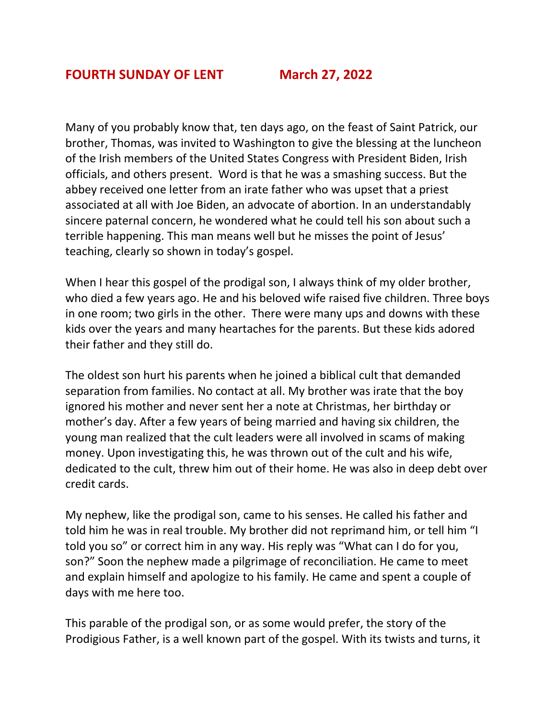Many of you probably know that, ten days ago, on the feast of Saint Patrick, our brother, Thomas, was invited to Washington to give the blessing at the luncheon of the Irish members of the United States Congress with President Biden, Irish officials, and others present. Word is that he was a smashing success. But the abbey received one letter from an irate father who was upset that a priest associated at all with Joe Biden, an advocate of abortion. In an understandably sincere paternal concern, he wondered what he could tell his son about such a terrible happening. This man means well but he misses the point of Jesus' teaching, clearly so shown in today's gospel.

When I hear this gospel of the prodigal son, I always think of my older brother, who died a few years ago. He and his beloved wife raised five children. Three boys in one room; two girls in the other. There were many ups and downs with these kids over the years and many heartaches for the parents. But these kids adored their father and they still do.

The oldest son hurt his parents when he joined a biblical cult that demanded separation from families. No contact at all. My brother was irate that the boy ignored his mother and never sent her a note at Christmas, her birthday or mother's day. After a few years of being married and having six children, the young man realized that the cult leaders were all involved in scams of making money. Upon investigating this, he was thrown out of the cult and his wife, dedicated to the cult, threw him out of their home. He was also in deep debt over credit cards.

My nephew, like the prodigal son, came to his senses. He called his father and told him he was in real trouble. My brother did not reprimand him, or tell him "I told you so" or correct him in any way. His reply was "What can I do for you, son?" Soon the nephew made a pilgrimage of reconciliation. He came to meet and explain himself and apologize to his family. He came and spent a couple of days with me here too.

This parable of the prodigal son, or as some would prefer, the story of the Prodigious Father, is a well known part of the gospel. With its twists and turns, it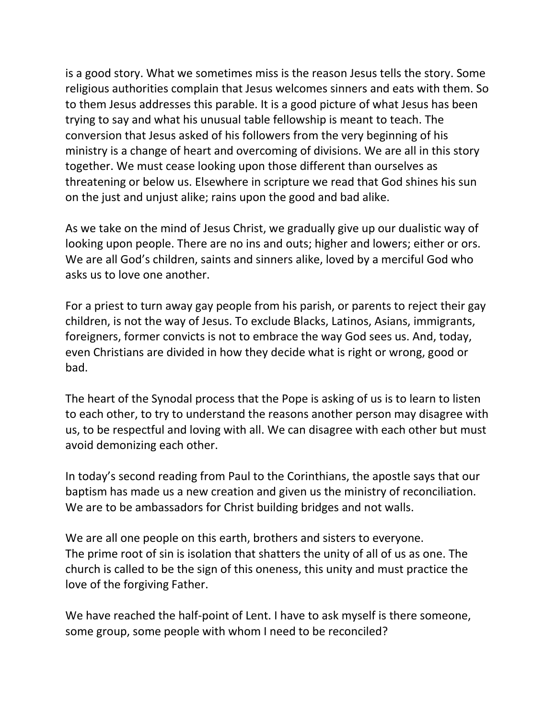is a good story. What we sometimes miss is the reason Jesus tells the story. Some religious authorities complain that Jesus welcomes sinners and eats with them. So to them Jesus addresses this parable. It is a good picture of what Jesus has been trying to say and what his unusual table fellowship is meant to teach. The conversion that Jesus asked of his followers from the very beginning of his ministry is a change of heart and overcoming of divisions. We are all in this story together. We must cease looking upon those different than ourselves as threatening or below us. Elsewhere in scripture we read that God shines his sun on the just and unjust alike; rains upon the good and bad alike.

As we take on the mind of Jesus Christ, we gradually give up our dualistic way of looking upon people. There are no ins and outs; higher and lowers; either or ors. We are all God's children, saints and sinners alike, loved by a merciful God who asks us to love one another.

For a priest to turn away gay people from his parish, or parents to reject their gay children, is not the way of Jesus. To exclude Blacks, Latinos, Asians, immigrants, foreigners, former convicts is not to embrace the way God sees us. And, today, even Christians are divided in how they decide what is right or wrong, good or bad.

The heart of the Synodal process that the Pope is asking of us is to learn to listen to each other, to try to understand the reasons another person may disagree with us, to be respectful and loving with all. We can disagree with each other but must avoid demonizing each other.

In today's second reading from Paul to the Corinthians, the apostle says that our baptism has made us a new creation and given us the ministry of reconciliation. We are to be ambassadors for Christ building bridges and not walls.

We are all one people on this earth, brothers and sisters to everyone. The prime root of sin is isolation that shatters the unity of all of us as one. The church is called to be the sign of this oneness, this unity and must practice the love of the forgiving Father.

We have reached the half-point of Lent. I have to ask myself is there someone, some group, some people with whom I need to be reconciled?